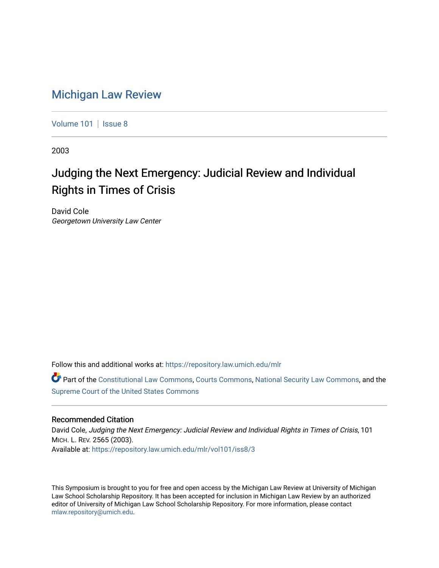## [Michigan Law Review](https://repository.law.umich.edu/mlr)

[Volume 101](https://repository.law.umich.edu/mlr/vol101) | [Issue 8](https://repository.law.umich.edu/mlr/vol101/iss8)

2003

# Judging the Next Emergency: Judicial Review and Individual Rights in Times of Crisis

David Cole Georgetown University Law Center

Follow this and additional works at: [https://repository.law.umich.edu/mlr](https://repository.law.umich.edu/mlr?utm_source=repository.law.umich.edu%2Fmlr%2Fvol101%2Fiss8%2F3&utm_medium=PDF&utm_campaign=PDFCoverPages) 

Part of the [Constitutional Law Commons,](http://network.bepress.com/hgg/discipline/589?utm_source=repository.law.umich.edu%2Fmlr%2Fvol101%2Fiss8%2F3&utm_medium=PDF&utm_campaign=PDFCoverPages) [Courts Commons,](http://network.bepress.com/hgg/discipline/839?utm_source=repository.law.umich.edu%2Fmlr%2Fvol101%2Fiss8%2F3&utm_medium=PDF&utm_campaign=PDFCoverPages) [National Security Law Commons](http://network.bepress.com/hgg/discipline/1114?utm_source=repository.law.umich.edu%2Fmlr%2Fvol101%2Fiss8%2F3&utm_medium=PDF&utm_campaign=PDFCoverPages), and the [Supreme Court of the United States Commons](http://network.bepress.com/hgg/discipline/1350?utm_source=repository.law.umich.edu%2Fmlr%2Fvol101%2Fiss8%2F3&utm_medium=PDF&utm_campaign=PDFCoverPages) 

#### Recommended Citation

David Cole, Judging the Next Emergency: Judicial Review and Individual Rights in Times of Crisis, 101 MICH. L. REV. 2565 (2003). Available at: [https://repository.law.umich.edu/mlr/vol101/iss8/3](https://repository.law.umich.edu/mlr/vol101/iss8/3?utm_source=repository.law.umich.edu%2Fmlr%2Fvol101%2Fiss8%2F3&utm_medium=PDF&utm_campaign=PDFCoverPages) 

This Symposium is brought to you for free and open access by the Michigan Law Review at University of Michigan Law School Scholarship Repository. It has been accepted for inclusion in Michigan Law Review by an authorized editor of University of Michigan Law School Scholarship Repository. For more information, please contact [mlaw.repository@umich.edu.](mailto:mlaw.repository@umich.edu)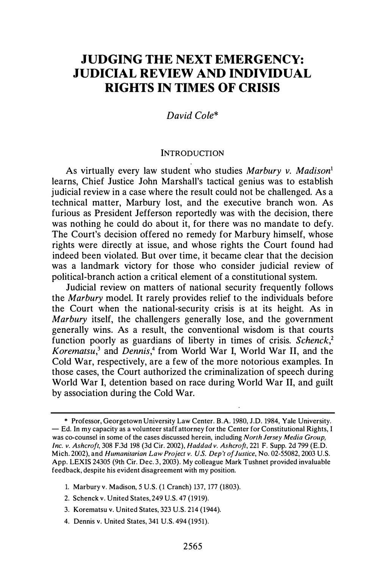### JUDGING THE NEXT EMERGENCY: JUDICIAL REVIEW AND INDIVIDUAL RIGHTS IN TIMES OF CRISIS

#### David Cole\*

#### **INTRODUCTION**

As virtually every law student who studies Marbury v. Madison<sup>1</sup> learns, Chief Justice John Marshall's tactical genius was to establish judicial review in a case where the result could not be challenged. As a technical matter, Marbury lost, and the executive branch won. As furious as President Jefferson reportedly was with the decision, there was nothing he could do about it, for there was no mandate to defv. The Court's decision offered no remedy for Marbury himself, whose rights were directly at issue, and whose rights the Court found had indeed been violated. But over time, it became clear that the decision was a landmark victory for those who consider judicial review of political-branch action a critical element of a constitutional system.

Judicial review on matters of national security frequently follows the Marbury model. It rarely provides relief to the individuals before the Court when the national-security crisis is at its height. As in Marbury itself, the challengers generally lose, and the government generally wins. As a result, the conventional wisdom is that courts function poorly as guardians of liberty in times of crisis. Schenck,<sup>2</sup>  $Korematsu$ <sup>3</sup> and Dennis,<sup>4</sup> from World War I, World War II, and the Cold War, respectively, are a few of the more notorious examples. In those cases, the Court authorized the criminalization of speech during World War I, detention based on race during World War II, and guilt by association during the Cold War.

- 1. Marbury v. Madison, 5 U.S. (1 Cranch) 137, 177 (1803).
- 2. Schenck v. United States, 249 U.S. 47 (1919).
- 3. Korematsu v. United States, 323 U.S. 214 (1944).
- 4. Dennis v. United States, 341 U.S. 494 (1951).

<sup>\*</sup> Professor, Georgetown University Law Center. B.A. 1980, J.D. 1984, Yale University. - Ed. In my capacity as a volunteer staff attorney for the Center for Constitutional Rights, I was co-counsel in some of the cases discussed herein, including North Jersey Media Group, Inc. v. Ashcroft, 308 F.3d 198 (3d Cir. 2002), Haddad v. Ashcroft, 221 F. Supp. 2d 799 (E.D. Mich. 2002), and Humanitarian Law Project v. U.S. Dep't of Justice, No. 02-55082, 2003 U.S. App. LEXIS 24305 (9th Cir. Dec. 3, 2003). My colleague Mark Tushnet provided invaluable feedback, despite his evident disagreement with my position.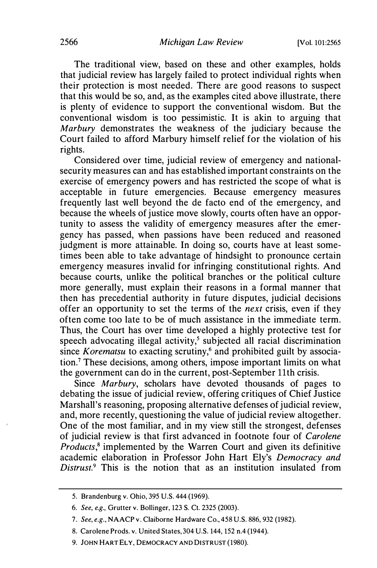The traditional view, based on these and other examples, holds that judicial review has largely failed to protect individual rights when their protection is most needed. There are good reasons to suspect that this would be so, and, as the examples cited above illustrate, there is plenty of evidence to support the conventional wisdom. But the conventional wisdom is too pessimistic. It is akin to arguing that Marbury demonstrates the weakness of the judiciary because the Court failed to afford Marbury himself relief for the violation of his rights.

Considered over time, judicial review of emergency and nationalsecurity measures can and has established important constraints on the exercise of emergency powers and has restricted the scope of what is acceptable in future emergencies. Because emergency measures frequently last well beyond the de facto end of the emergency, and because the wheels of justice move slowly, courts often have an opportunity to assess the validity of emergency measures after the emergency has passed, when passions have been reduced and reasoned judgment is more attainable. In doing so, courts have at least sometimes been able to take advantage of hindsight to pronounce certain emergency measures invalid for infringing constitutional rights. And because courts, unlike the political branches or the political culture more generally, must explain their reasons in a formal manner that then has precedential authority in future disputes, judicial decisions offer an opportunity to set the terms of the next crisis, even if they often come too late to be of much assistance in the immediate term. Thus, the Court has over time developed a highly protective test for speech advocating illegal activity,<sup>5</sup> subjected all racial discrimination since Korematsu to exacting scrutiny,<sup>6</sup> and prohibited guilt by association.7 These decisions, among others, impose important limits on what the government can do in the current, post-September 11th crisis.

Since Marbury, scholars have devoted thousands of pages to debating the issue of judicial review, offering critiques of Chief Justice Marshall's reasoning, proposing alternative defenses of judicial review, and, more recently, questioning the value of judicial review altogether. One of the most familiar, and in my view still the strongest, defenses of judicial review is that first advanced in footnote four of Carolene *Products*, $^{8}$  implemented by the Warren Court and given its definitive academic elaboration in Professor John Hart Ely's Democracy and Distrust.<sup>9</sup> This is the notion that as an institution insulated from

<sup>5.</sup> Brandenburg v. Ohio, 395 U.S. 444 (1969).

<sup>6.</sup> See, e.g., Grutter v. Bollinger, 123 S. Ct. 2325 (2003).

<sup>7.</sup> See, e.g., NAACP v. Claiborne Hardware Co., 458 U.S. 886, 932 (1982).

<sup>8.</sup> Carolene Prods. v. United States, 304 U.S. 144, 152 n.4 (1944).

<sup>9.</sup> JOHN HART ELY, DEMOCRACY AND DISTRUST (1980).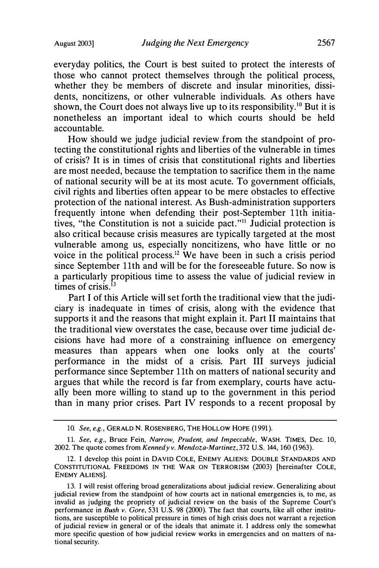everyday politics, the Court is best suited to protect the interests of those who cannot protect themselves through the political process, whether they be members of discrete and insular minorities, dissidents, noncitizens, or other vulnerable individuals. As others have shown, the Court does not always live up to its responsibility.<sup>10</sup> But it is nonetheless an important ideal to which courts should be held accountable.

How should we judge judicial review from the standpoint of protecting the constitutional rights and liberties of the vulnerable in times of crisis? It is in times of crisis that constitutional rights and liberties are most needed, because the temptation to sacrifice them in the name of national security will be at its most acute. To government officials, civil rights and liberties often appear to be mere obstacles to effective protection of the national interest. As Bush-administration supporters frequently intone when defending their post-September 1 1th initiatives, "the Constitution is not a suicide pact."11 Judicial protection is also critical because crisis measures are typically targeted at the most vulnerable among us, especially noncitizens, who have little or no voice in the political process.12 We have been in such a crisis period since September 11th and will be for the foreseeable future. So now is a particularly propitious time to assess the value of judicial review in times of crisis. $^{13}$ 

Part I of this Article will set forth the traditional view that the judiciary is inadequate in times of crisis, along with the evidence that supports it and the reasons that might explain it. Part II maintains that the traditional view overstates the case, because over time judicial decisions have had more of a constraining influence on emergency measures than appears when one looks only at the courts' performance in the midst of a crisis. Part III surveys judicial performance since September 11th on matters of national security and argues that while the record is far from exemplary, courts have actually been more willing to stand up to the government in this period than in many prior crises. Part IV responds to a recent proposal by

<sup>10.</sup> See, e.g., GERALD N. ROSENBERG, THE HOLLOW HOPE (1991).

<sup>11.</sup> See, e.g., Bruce Fein, Narrow, Prudent, and Impeccable, WASH. TIMES, Dec. 10, 2002. The quote comes from Kennedy v. Mendoza-Martinez, 372 U.S. 144, 160 (1963).

<sup>12.</sup> I develop this point in DAVID COLE, ENEMY ALIENS: DOUBLE STANDARDS AND CONSTITUTIONAL FREEDOMS IN THE WAR ON TERRORISM (2003) (hereinafter COLE, ENEMY ALIENS].

<sup>13.</sup> I will resist offering broad generalizations about judicial review. Generalizing about judicial review from the standpoint of how courts act in national emergencies is, to me, as invalid as judging the propriety of judicial review on the basis of the Supreme Court's performance in Bush v. Gore, 531 U.S. 98 (2000). The fact that courts, like all other institutions, are susceptible to political pressure in times of high crisis does not warrant a rejection of judicial review in general or of the ideals that animate it. I address only the somewhat more specific question of how judicial review works in emergencies and on matters of national security.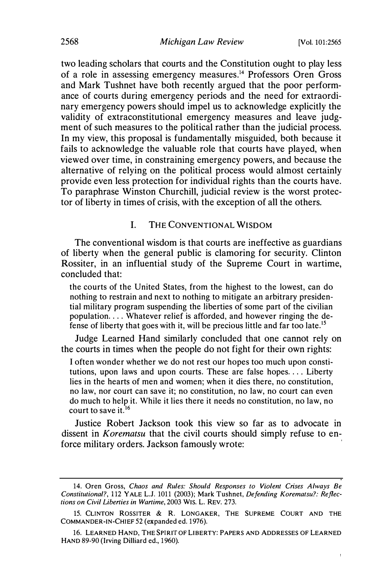j,

two leading scholars that courts and the Constitution ought to play less of a role in assessing emergency measures.14 Professors Oren Gross and Mark Tushnet have both recently argued that the poor performance of courts during emergency periods and the need for extraordinary emergency powers should impel us to acknowledge explicitly the validity of extraconstitutional emergency measures and leave judgment of such measures to the political rather than the judicial process. In my view, this proposal is fundamentally misguided, both because it fails to acknowledge the valuable role that courts have played, when viewed over time, in constraining emergency powers, and because the alternative of relying on the political process would almost certainly provide even less protection for individual rights than the courts have. To paraphrase Winston Churchill, judicial review is the worst protector of liberty in times of crisis, with the exception of all the others.

#### I. THE CONVENTIONAL WISDOM

The conventional wisdom is that courts are ineffective as guardians of liberty when the general public is clamoring for security. Clinton Rossiter, in an influential study of the Supreme Court in wartime, concluded that:

the courts of the United States, from the highest to the lowest, can do nothing to restrain and next to nothing to mitigate an arbitrary presidential military program suspending the liberties of some part of the civilian population .... Whatever relief is afforded, and however ringing the defense of liberty that goes with it, will be precious little and far too late.<sup>15</sup>

Judge Learned Hand similarly concluded that one cannot rely on the courts in times when the people do not fight for their own rights:

I often wonder whether we do not rest our hopes too much upon constitutions, upon laws and upon courts. These are false hopes.... Liberty lies in the hearts of men and women; when it dies there, no constitution, no law, nor court can save it; no constitution, no law, no court can even do much to help it. While it lies there it needs no constitution, no law, no court to save it.<sup>16</sup>

Justice Robert Jackson took this view so far as to advocate in dissent in Korematsu that the civil courts should simply refuse to enforce military orders. Jackson famously wrote:

<sup>14.</sup> Oren Gross, Chaos and Rules: Should Responses to Violent Crises Always Be Constitutional?, 112 YALE L.J. 1011 (2003); Mark Tushnet, Defending Korematsu?: Reflections on Civil Liberties in Wartime, 2003 WIS. L. REV. 273.

<sup>15.</sup> CLINTON ROSSITER & R. LONGAKER, THE SUPREME COURT AND THE COMMANDER-IN-CHIEF 52 (expanded ed. 1976).

<sup>16.</sup> LEARNED HAND, THE SPIRIT OF LIBERTY: PAPERS AND ADDRESSES OF LEARNED HAND 89-90 (Irving Dilliard ed., 1960).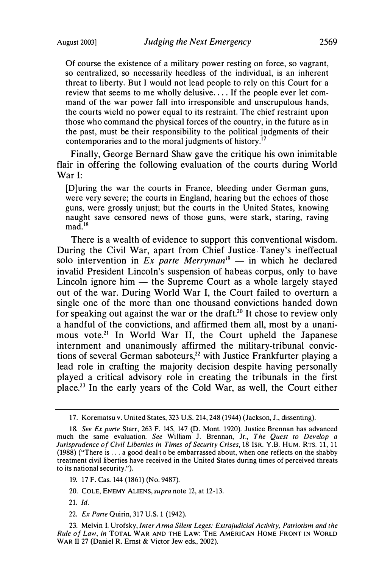Of course the existence of a military power resting on force, so vagrant, so centralized, so necessarily heedless of the individual, is an inherent threat to liberty. But I would not lead people to rely on this Court for a review that seems to me wholly delusive .... If the people ever let command of the war power fall into irresponsible and unscrupulous hands, the courts wield no power equal to its restraint. The chief restraint upon those who command the physical forces of the country, in the future as in the past, must be their responsibility to the political judgments of their contemporaries and to the moral judgments of history.<sup>17</sup>

Finally, George Bernard Shaw gave the critique his own inimitable flair in offering the following evaluation of the courts during World War I:

[D]uring the war the courts in France, bleeding under German guns, were very severe; the courts in England, hearing but the echoes of those guns, were grossly unjust; but the courts in the United States, knowing naught save censored news of those guns, were stark, staring, raving  $ma\bar{d}$ <sup>18</sup>

There is a wealth of evidence to support this conventional wisdom. During the Civil War, apart from Chief Justice. Taney's ineffectual solo intervention in Ex parte Merryman<sup>19</sup> - in which he declared invalid President Lincoln's suspension of habeas corpus, only to have Lincoln ignore him  $-$  the Supreme Court as a whole largely stayed out of the war. During World War I, the Court failed to overturn a single one of the more than one thousand convictions handed down for speaking out against the war or the draft.<sup>20</sup> It chose to review only a handful of the convictions, and affirmed them all, most by a unanimous vote.21 In World War II, the Court upheld the Japanese internment and unanimously affirmed the military-tribunal convictions of several German saboteurs,<sup>22</sup> with Justice Frankfurter playing a lead role in crafting the majority decision despite having personally played a critical advisory role in creating the tribunals in the first place.23 In the early years of the Cold War, as well, the Court either

20. COLE, ENEMY ALIENS, supra note 12, at 12-13.

22. Ex Parte Quirin, 317 U.S. 1 (1942).

23. Melvin I. Urofsky, Inter Arma Silent Leges: Extrajudicial Activity, Patriotism and the Rule of Law, in TOTAL WAR AND THE LAW: THE AMERICAN HOME FRONT IN WORLD WAR II 27 (Daniel R. Ernst & Victor Jew eds., 2002).

<sup>17.</sup> Korematsu v. United States, 323 U.S. 214, 248 (1944) (Jackson, J., dissenting).

<sup>18.</sup> See Ex parte Starr, 263 F. 145, 147 (D. Mont. 1920). Justice Brennan has advanced much the same evaluation. See William J. Brennan, Jr., The Quest to Develop a Jurisprudence of Civil Liberties in Times of Security Crises, 18 ISR. Y.B. HUM. RTS. 11, 11 (1988) ("There is ... a good deal to be embarrassed about, when one reflects on the shabby treatment civil liberties have received in the United States during times of perceived threats to its national security.").

<sup>19. 17</sup> F. Cas. 144 (1861) (No. 9487).

<sup>21.</sup> Id.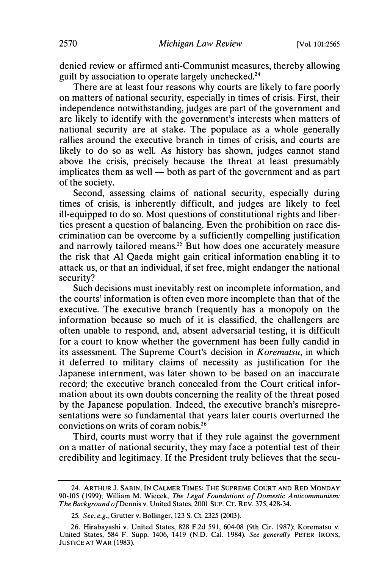denied review or affirmed anti-Communist measures, thereby allowing guilt by association to operate largely unchecked.<sup>24</sup>

There are at least four reasons why courts are likely to fare poorly on matters of national security, especially in times of crisis. First, their independence notwithstanding, judges are part of the government and are likely to identify with the government's interests when matters of national security are at stake. The populace as a whole generally rallies around the executive branch in times of crisis, and courts are likely to do so as well. As history has shown, judges cannot stand above the crisis, precisely because the threat at least presumably implicates them as well  $-$  both as part of the government and as part of the society.

Second, assessing claims of national security, especially during times of crisis, is inherently difficult, and judges are likely to feel ill-equipped to do so. Most questions of constitutional rights and liberties present a question of balancing. Even the prohibition on race discrimination can be overcome by a sufficiently compelling justification and narrowly tailored means.<sup>25</sup> But how does one accurately measure the risk that Al Qaeda might gain critical information enabling it to attack us, or that an individual, if set free, might endanger the national security?

Such decisions must inevitably rest on incomplete information, and the courts' information is often even more incomplete than that of the executive. The executive branch frequently has a monopoly on the information because so much of it is classified, the challengers are often unable to respond, and, absent adversarial testing, it is difficult for a court to know whether the government has been fully candid in its assessment. The Supreme Court's decision in Korematsu, in which it deferred to military claims of necessity as justification for the Japanese internment, was later shown to be based on an inaccurate record; the executive branch concealed from the Court critical information about its own doubts concerning the reality of the threat posed by the Japanese population. Indeed, the executive branch's misrepresentations were so fundamental that years later courts overturned the convictions on writs of coram nobis.26

Third, courts must worry that if they rule against the government on a matter of national security, they may face a potential test of their credibility and legitimacy. If the President truly believes that the secu-

<sup>24.</sup> ARTHUR J. SABIN, IN CALMER TIMES: THE SUPREME COURT AND RED MONDAY 90-105 (1999); William M. Wiecek, The Legal Foundations of Domestic Anticommunism: The Background of Dennis v. United States, 2001 SUP. CT. REV. 375, 428-34.

<sup>25.</sup> See, e.g., Grutter v. Bollinger, 123 S. Ct. 2325 (2003).

<sup>26.</sup> Hirabayashi v. United States, 828 F.2d 591, 604-08 (9th Cir. 1987); Korematsu v. United States, 584 F. Supp. 1406, 1419 (N.D. Cal. 1984). See generally PETER IRONS, JUSTICE AT WAR (1983).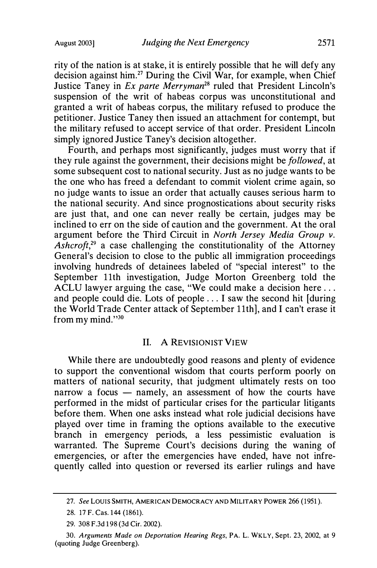rity of the nation is at stake, it is entirely possible that he will defy any decision against him.<sup>27</sup> During the Civil War, for example, when Chief Justice Taney in  $Ex$  parte Merryman<sup>28</sup> ruled that President Lincoln's suspension of the writ of habeas corpus was unconstitutional and granted a writ of habeas corpus, the military refused to produce the petitioner. Justice Taney then issued an attachment for contempt, but the military refused to accept service of that order. President Lincoln simply ignored Justice Taney's decision altogether.

Fourth, and perhaps most significantly, judges must worry that if they rule against the government, their decisions might be followed, at some subsequent cost to national security. Just as no judge wants to be the one who has freed a defendant to commit violent crime again, so no judge wants to issue an order that actually causes serious harm to the national security. And since prognostications about security risks are just that, and one can never really be certain, judges may be inclined to err on the side of caution and the government. At the oral argument before the Third Circuit in North Jersey Media Group v. Ashcroft, $29$  a case challenging the constitutionality of the Attorney General's decision to close to the public all immigration proceedings involving hundreds of detainees labeled of "special interest" to the September 11th investigation, Judge Morton Greenberg told the ACLU lawyer arguing the case, "We could make a decision here ... and people could die. Lots of people ... I saw the second hit [during the World Trade Center attack of September 1 1th], and I can't erase it from  $mv$  mind." $30$ 

#### II. A REVISIONIST VIEW

While there are undoubtedly good reasons and plenty of evidence to support the conventional wisdom that courts perform poorly on matters of national security, that judgment ultimately rests on too narrow a focus  $-$  namely, an assessment of how the courts have performed in the midst of particular crises for the particular litigants before them. When one asks instead what role judicial decisions have played over time in framing the options available to the executive branch in emergency periods, a less pessimistic evaluation is warranted. The Supreme Court's decisions during the waning of emergencies, or after the emergencies have ended, have not infrequently called into question or reversed its earlier rulings and have

<sup>27.</sup> See LOUIS SMITH, AMERICAN DEMOCRACY AND MILITARY POWER 266 (1951).

<sup>28. 17</sup> F. Cas. 144 (1861).

<sup>29. 308</sup> F.3d 198 (3d Cir. 2002).

<sup>30.</sup> Arguments Made on Deportation Hearing Regs, PA. L. WKLY, Sept. 23, 2002, at 9 (quoting Judge Greenberg).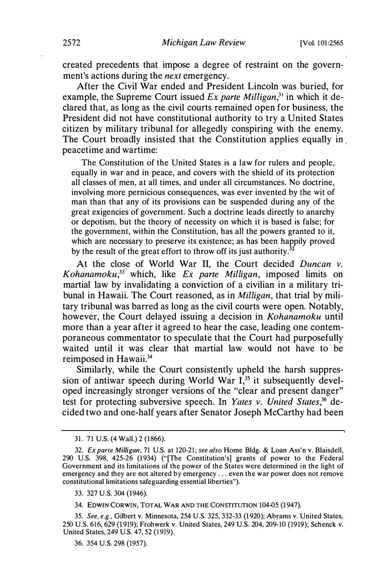created precedents that impose a degree of restraint on the government's actions during the next emergency.

After the Civil War ended and President Lincoln was buried, for example, the Supreme Court issued  $Ex$  parte Milligan,<sup>31</sup> in which it declared that, as long as the civil courts remained open for business, the President did not have constitutional authority to try a United States citizen by military tribunal for allegedly conspiring with the enemy. The Court broadly insisted that the Constitution applies equally in peacetime and wartime:

The Constitution of the United States is a law for rulers and people, equally in war and in peace, and covers with the shield of its protection all classes of men, at all times, and under all circumstances. No doctrine, involving more pernicious consequences, was ever invented by the wit of man than that any of its provisions can be suspended during any of the great exigencies of government. Such a doctrine leads directly to anarchy or depotism, but the theory of necessity on which it is based is false; for the government, within the Constitution, has all the powers granted to it, which are necessary to preserve its existence; as has been happily proved by the result of the great effort to throw off its just authority.<sup>32</sup>

At the close of World War II, the Court decided Duncan v. Kohanamoku,<sup>33</sup> which, like Ex parte Milligan, imposed limits on martial law by invalidating a conviction of a civilian in a military tribunal in Hawaii. The Court reasoned, as in Milligan, that trial by military tribunal was barred as long as the civil courts were open. Notably, however, the Court delayed issuing a decision in Kohanamoku until more than a year after it agreed to hear the case, leading one contemporaneous commentator to speculate that the Court had purposefully waited until it was clear that martial law would not have to be reimposed in Hawaii.34

Similarly, while the Court consistently upheld the harsh suppression of antiwar speech during World War  $I<sub>1</sub><sup>35</sup>$  it subsequently developed increasingly stronger versions of the "clear and present danger" test for protecting subversive speech. In Yates v. United States,<sup>36</sup> decided two and one-half years after Senator Joseph McCarthy had been

<sup>31. 71</sup> U.S. (4 Wall.) 2 (1866).

<sup>32.</sup> Ex parte Milligan, 71 U.S. at 120-21; see also Home Bldg. & Loan Ass'n v. Blaisdell, 290 U.S. 398, 425-26 (1934) ("(The Constitution's] grants of power to the Federal Government and its limitations of the power of the States were determined in the light of emergency and they are not altered by emergency ... even the war power does not remove constitutional limitations safeguarding essential liberties").

<sup>33. 327</sup> U.S. 304 (1946).

<sup>34.</sup> EDWIN CORWIN, TOTAL WAR AND THE CONSTITUTION 104-05 (1947).

<sup>35.</sup> See, e.g., Gilbert v. Minnesota, 254 U.S. 325, 332-33 (1920); Abrams v. United States, 250 U.S. 616, 629 (1919); Frohwerk v. United States, 249 U.S. 204, 209-10 (1919); Schenck v. United States, 249 U.S. 47, 52 (1919).

<sup>36. 354</sup> U.S. 298 (1957).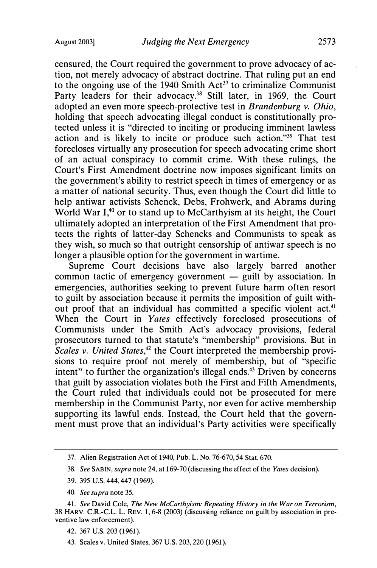censured, the Court required the government to prove advocacy of action, not merely advocacy of abstract doctrine. That ruling put an end to the ongoing use of the 1940 Smith Act<sup>37</sup> to criminalize Communist Party leaders for their advocacy.<sup>38</sup> Still later, in 1969, the Court adopted an even more speech-protective test in Brandenburg v. Ohio, holding that speech advocating illegal conduct is constitutionally protected unless it is "directed to inciting or producing imminent lawless action and is likely to incite or produce such action."39 That test forecloses virtually any prosecution for speech advocating crime short of an actual conspiracy to commit crime. With these rulings, the Court's First Amendment doctrine now imposes significant limits on the government's ability to restrict speech in times of emergency or as a matter of national security. Thus, even though the Court did little to help antiwar activists Schenck, Debs, Frohwerk, and Abrams during World War I,<sup>40</sup> or to stand up to McCarthyism at its height, the Court ultimately adopted an interpretation of the First Amendment that protects the rights of latter-day Schencks and Communists to speak as they wish, so much so that outright censorship of antiwar speech is no longer a plausible option for the government in wartime.

Supreme Court decisions have also largely barred another common tactic of emergency government  $-$  guilt by association. In emergencies, authorities seeking to prevent future harm often resort to guilt by association because it permits the imposition of guilt without proof that an individual has committed a specific violent act.<sup>41</sup> When the Court in Yates effectively foreclosed prosecutions of Communists under the Smith Act's advocacy provisions, federal prosecutors turned to that statute's "membership" provisions. But in Scales v. United States,<sup>42</sup> the Court interpreted the membership provisions to require proof not merely of membership, but of "specific intent" to further the organization's illegal ends.<sup>43</sup> Driven by concerns that guilt by association violates both the First and Fifth Amendments, the Court ruled that individuals could not be prosecuted for mere membership in the Communist Party, nor even for active membership supporting its lawful ends. Instead, the Court held that the government must prove that an individual's Party activities were specifically

- 39. 395 U.S. 444, 447 (1969).
- 40. See supra note 35.

- 42. 367 U.S. 203 (1961).
- 43. Scales v. United States, 367 U.S. 203, 220 (1961).

<sup>37.</sup> Alien Registration Act of 1940, Pub. L. No. 76-670, 54 Stat. 670.

<sup>38.</sup> See SABIN, supra note 24, at 169-70 (discussing the effect of the Yates decision).

<sup>41.</sup> See David Cole, The New McCarthyism: Repeating History in the War on Terrorism, 38 HARV. C.R.-C.L. L. REV. 1, 6-8 (2003) (discussing reliance on guilt by association in preventive law enforcement).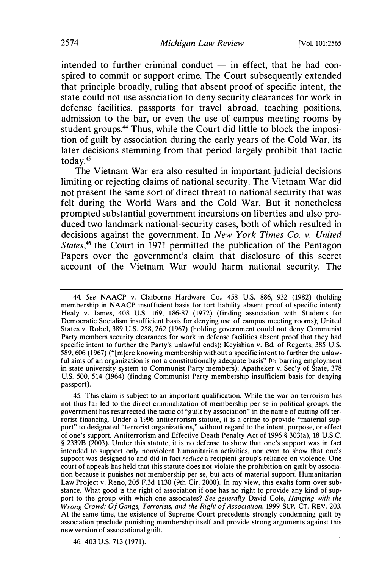intended to further criminal conduct  $-$  in effect, that he had conspired to commit or support crime. The Court subsequently extended that principle broadly, ruling that absent proof of specific intent, the state could not use association to deny security clearances for work in defense facilities, passports for travel abroad, teaching positions, admission to the bar, or even the use of campus meeting rooms by student groups.44 Thus, while the Court did little to block the imposition of guilt by association during the early years of the Cold War, its later decisions stemming from that period largely prohibit that tactic today.45

The Vietnam War era also resulted in important judicial decisions limiting or rejecting claims of national security. The Vietnam War did not present the same sort of direct threat to national security that was felt during the World Wars and the Cold War. But it nonetheless prompted substantial government incursions on liberties and also produced two landmark national-security cases, both of which resulted in decisions against the government. In New York Times Co. v. United States,<sup>46</sup> the Court in 1971 permitted the publication of the Pentagon Papers over the government's claim that disclosure of this secret account of the Vietnam War would harm national security. The

46. 403 U.S. 713 (1971).

<sup>44.</sup> See NAACP v. Claiborne Hardware Co., 458 U.S. 886, 932 (1982) (holding membership in NAACP insufficient basis for tort liability absent proof of specific intent); Healy v. James, 408 U.S. 169, 186-87 (1972) (finding association with Students for Democratic Socialism insufficient basis for denying use of campus meeting rooms); United States v. Robel, 389 U.S. 258, 262 (1967) (holding government could not deny Communist Party members security clearances for work in defense facilities absent proof that they had specific intent to further the Party's unlawful ends); Keyishian v. Bd. of Regents, 385 U.S. 589, 606 (1967) ("[m]ere knowing membership without a specific intent to further the unlawful aims of an organization is not a constitutionally adequate basis" for barring employment in state university system to Communist Party members); Apatheker v. Sec'y of State, 378 U.S. 500, 514 (1964) (finding Communist Party membership insufficient basis for denying passport).

<sup>45.</sup> This claim is subject to an important qualification. While the war on terrorism has not thus far led to the direct criminalization of membership per se in political groups, the government has resurrected the tactic of "guilt by association" in the name of cutting off terrorist financing. Under a 1996 antiterrorism statute, it is a crime to provide "material support" to designated "terrorist organizations," without regard to the intent, purpose, or effect of one's support. Antiterrorism and Effective Death Penalty Act of 1996 § 303(a), 18 U.S.C. § 23398 (2003). Under this statute, it is no defense to show that one's support was in fact intended to support only nonviolent humanitarian activities, nor even to show that one's support was designed to and did in fact *reduce* a recipient group's reliance on violence. One court of appeals has held that this statute does not violate the prohibition on guilt by association because it punishes not membership per se, but acts of material support. Humanitarian Law Project v. Reno, 205 F.3d 1 130 (9th Cir. 2000). In my view, this exalts form over substance. What good is the right of association if one has no right to provide any kind of support to the group with which one associates? See generally David Cole, Hanging with the Wrong Crowd: Of Gangs, Terrorists, and the Right of Association, 1999 SUP. CT. REV. 203. At the same time, the existence of Supreme Court precedents strongly condemning guilt by association preclude punishing membership itself and provide strong arguments against this new version of associational guilt.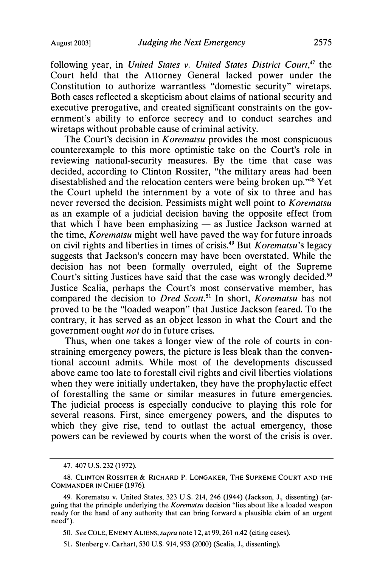following year, in United States v. United States District Court, $47$  the Court held that the Attorney General lacked power under the Constitution to authorize warrantless "domestic security" wiretaps. Both cases reflected a skepticism about claims of national security and executive prerogative, and created significant constraints on the government's ability to enforce secrecy and to conduct searches and wiretaps without probable cause of criminal activity.

The Court's decision in Korematsu provides the most conspicuous counterexample to this more optimistic take on the Court's role in reviewing national-security measures. By the time that case was decided, according to Clinton Rossiter, "the military areas had been disestablished and the relocation centers were being broken up. "48 Yet the Court upheld the internment by a vote of six to three and has never reversed the decision. Pessimists might well point to Korematsu as an example of a judicial decision having the opposite effect from that which  $\overline{I}$  have been emphasizing  $-$  as Justice Jackson warned at the time, Korematsu might well have paved the way for future inroads on civil rights and liberties in times of crisis.<sup>49</sup> But *Korematsu's* legacy suggests that Jackson's concern may have been overstated. While the decision has not been formally overruled, eight of the Supreme Court's sitting Justices have said that the case was wrongly decided.<sup>50</sup> Justice Scalia, perhaps the Court's most conservative member, has compared the decision to Dred Scott.<sup>51</sup> In short, Korematsu has not proved to be the "loaded weapon" that Justice Jackson feared. To the contrary, it has served as an object lesson in what the Court and the government ought not do in future crises.

Thus, when one takes a longer view of the role of courts in constraining emergency powers, the picture is less bleak than the conventional account admits. While most of the developments discussed above came too late to forestall civil rights and civil liberties violations when they were initially undertaken, they have the prophylactic effect of forestalling the same or similar measures in future emergencies. The judicial process is especially conducive to playing this role for several reasons. First, since emergency powers, and the disputes to which they give rise, tend to outlast the actual emergency, those powers can be reviewed by courts when the worst of the crisis is over.

<sup>47. 407</sup> U.S. 232 (1972).

<sup>48.</sup> CLINTON ROSSITER & RICHARD P. LONGAKER, THE SUPREME COURT AND THE COMMANDER IN CHIEF (1976).

<sup>49.</sup> Korematsu v. United States, 323 U.S. 214, 246 (1944) (Jackson, J., dissenting) (arguing that the principle underlying the Korematsu decision "lies about like a loaded weapon ready for the hand of any authority that can bring forward a plausible claim of an urgent need").

<sup>50.</sup> See COLE, ENEMY ALIENS, supra note 12, at 99, 261 n.42 (citing cases).

<sup>51.</sup> Stenberg v. Carhart, 530 U.S. 914, 953 (2000) (Scalia, J., dissenting).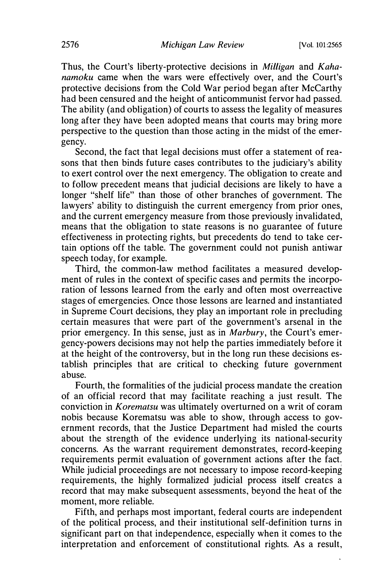l,

Thus, the Court's liberty-protective decisions in Milligan and Kahanamoku came when the wars were effectively over, and the Court's protective decisions from the Cold War period began after McCarthy had been censured and the height of anticommunist fervor had passed. The ability (and obligation) of courts to assess the legality of measures long after they have been adopted means that courts may bring more perspective to the question than those acting in the midst of the emergency.

Second, the fact that legal decisions must offer a statement of reasons that then binds future cases contributes to the judiciary's ability to exert control over the next emergency. The obligation to create and to follow precedent means that judicial decisions are likely to have a longer "shelf life" than those of other branches of government. The lawyers' ability to distinguish the current emergency from prior ones, and the current emergency measure from those previously invalidated, means that the obligation to state reasons is no guarantee of future effectiveness in protecting rights, but precedents do tend to take certain options off the table. The government could not punish antiwar speech today, for example.

Third, the common-law method facilitates a measured development of rules in the context of specific cases and permits the incorporation of lessons learned from the early and often most overreactive stages of emergencies. Once those lessons are learned and instantiated in Supreme Court decisions, they play an important role in precluding certain measures that were part of the government's arsenal in the prior emergency. In this sense, just as in Marbury, the Court's emergency-powers decisions may not help the parties immediately before it at the height of the controversy, but in the long run these decisions establish principles that are critical to checking future government abuse.

Fourth, the formalities of the judicial process mandate the creation of an official record that may facilitate reaching a just result. The conviction in Korematsu was ultimately overturned on a writ of coram nobis because Korematsu was able to show, through access to government records, that the Justice Department had misled the courts about the strength of the evidence underlying its national-security concerns. As the warrant requirement demonstrates, record-keeping requirements permit evaluation of government actions after the fact. While judicial proceedings are not necessary to impose record-keeping requirements, the highly formalized judicial process itself creates a record that may make subsequent assessments, beyond the heat of the moment, more reliable.

Fifth, and perhaps most important, federal courts are independent of the political process, and their institutional self-definition turns in significant part on that independence, especially when it comes to the interpretation and enforcement of constitutional rights. As a result,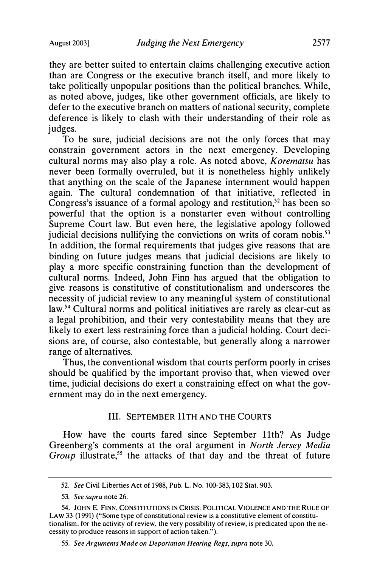they are better suited to entertain claims challenging executive action than are Congress or the executive branch itself, and more likely to take politically unpopular positions than the political branches. While, as noted above, judges, like other government officials, are likely to defer to the executive branch on matters of national security, complete deference is likely to clash with their understanding of their role as judges.

To be sure, judicial decisions are not the only forces that may constrain government actors in the next emergency. Developing cultural norms may also play a role. As noted above, Korematsu has never been formally overruled, but it is nonetheless highly unlikely that anything on the scale of the Japanese internment would happen again. The cultural condemnation of that initiative, reflected in Congress's issuance of a formal apology and restitution,<sup>52</sup> has been so powerful that the option is a nonstarter even without controlling Supreme Court law. But even here, the legislative apology followed judicial decisions nullifying the convictions on writs of coram nobis.<sup>53</sup> In addition, the formal requirements that judges give reasons that are binding on future judges means that judicial decisions are likely to play a more specific constraining function than the development of cultural norms. Indeed, John Finn has argued that the obligation to give reasons is constitutive of constitutionalism and underscores the necessity of judicial review to any meaningful system of constitutional law.<sup>54</sup> Cultural norms and political initiatives are rarely as clear-cut as a legal prohibition, and their very contestability means that they are likely to exert less restraining force than a judicial holding. Court decisions are, of course, also contestable, but generally along a narrower range of alternatives.

Thus, the conventional wisdom that courts perform poorly in crises should be qualified by the important proviso that, when viewed over time, judicial decisions do exert a constraining effect on what the government may do in the next emergency.

#### III. SEPTEMBER 11 TH AND THE COURTS

How have the courts fared since September 11th? As Judge Greenberg's comments at the oral argument in North Jersey Media Group illustrate,<sup>55</sup> the attacks of that day and the threat of future

<sup>52.</sup> See Civil Liberties Act of 1988, Pub. L. No. 100-383, 102 Stat. 903.

<sup>53.</sup> See supra note 26.

<sup>54.</sup> JOHN E. FINN, CONSTITUTIONS IN CRISIS: POLITICAL VIOLENCE AND THE RULE OF LAW 33 (1991) ("Some type of constitutional review is a constitutive element of constitutionalism, for the activity of review, the very possibility of review, is predicated upon the necessity to produce reasons in support of action taken.").

<sup>55.</sup> See Arguments Made on Deportation Hearing Regs, supra note 30.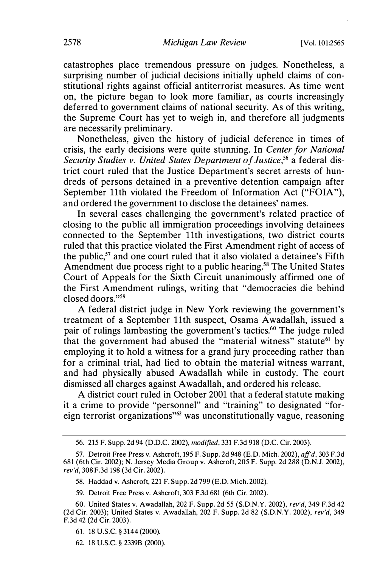catastrophes place tremendous pressure on judges. Nonetheless, a surprising number of judicial decisions initially upheld claims of constitutional rights against official antiterrorist measures. As time went on, the picture began to look more familiar, as courts increasingly deferred to government claims of national security. As of this writing, the Supreme Court has yet to weigh in, and therefore all judgments are necessarily preliminary.

Nonetheless, given the history of judicial deference in times of crisis, the early decisions were quite stunning. In Center for National Security Studies v. United States Department of Justice,<sup>56</sup> a federal district court ruled that the Justice Department's secret arrests of hundreds of persons detained in a preventive detention campaign after September 11th violated the Freedom of Information Act ("FOIA"), and ordered the government to disclose the detainees' names.

In several cases challenging the government's related practice of closing to the public all immigration proceedings involving detainees connected to the September 11th investigations, two district courts ruled that this practice violated the First Amendment right of access of the public,<sup>57</sup> and one court ruled that it also violated a detainee's Fifth Amendment due process right to a public hearing.<sup>58</sup> The United States Court of Appeals for the Sixth Circuit unanimously affirmed one of the First Amendment rulings, writing that "democracies die behind closed doors. "59

A federal district judge in New York reviewing the government's treatment of a September 11th suspect, Osama Awadallah, issued a pair of rulings lambasting the government's tactics.<sup>60</sup> The judge ruled that the government had abused the "material witness" statute<sup>61</sup> by employing it to hold a witness for a grand jury proceeding rather than for a criminal trial, had lied to obtain the material witness warrant, and had physically abused Awadallah while in custody. The court dismissed all charges against Awadallah, and ordered his release.

A district court ruled in October 2001 that a federal statute making it a crime to provide "personnel" and "training" to designated "foreign terrorist organizations"62 was unconstitutionally vague, reasoning

<sup>56. 215</sup> F. Supp. 2d 94 (D.D.C. 2002), modified, 331 F.3d 918 (D.C. Cir. 2003).

<sup>57.</sup> Detroit Free Press v. Ashcroft, 195 F. Supp. 2d 948 (E.D. Mich. 2002), aff d, 303 F.3d 681 (6th Cir. 2002); N. Jersey Media Group v. Ashcroft, 205 F. Supp. 2d 288 (D.N.J. 2002), rev'd, 308 F.3d 198 (3d Cir. 2002).

<sup>58.</sup> Haddad v. Ashcroft, 221 F. Supp. 2d 799 (E.D. Mich. 2002).

<sup>59.</sup> Detroit Free Press v. Ashcroft, 303 F.3d 681 (6th Cir. 2002).

<sup>60.</sup> United States v. Awadallah, 202 F. Supp. 2d 55 (S.D.N.Y. 2002), rev'd, 349 F.3d 42 (2d Cir. 2003); United States v. Awadallah, 202 F. Supp. 2d 82 (S.D.N.Y. 2002), rev'd, 349 F.3d 42 (2d Cir. 2003).

<sup>61. 18</sup> u.s.c. § 3144 (2000).

<sup>62. 18</sup> U.S.C. § 2339B (2000).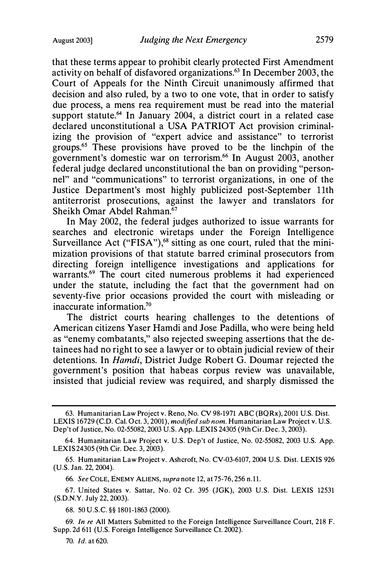that these terms appear to prohibit clearly protected First Amendment activity on behalf of disfavored organizations. $63$  In December 2003, the Court of Appeals for the Ninth Circuit unanimously affirmed that decision and also ruled, by a two to one vote, that in order to satisfy due process, a mens rea requirement must be read into the material support statute.<sup>64</sup> In January 2004, a district court in a related case declared unconstitutional a USA PATRIOT Act provision criminalizing the provision of "expert advice and assistance" to terrorist groups.65 These provisions have proved to be the linchpin of the government's domestic war on terrorism.<sup>66</sup> In August 2003, another federal judge declared unconstitutional the ban on providing "personnel" and "communications" to terrorist organizations, in one of the Justice Department's most highly publicized post-September 11th antiterrorist prosecutions, against the lawyer and translators for Sheikh Omar Abdel Rahman.<sup>67</sup>

In May 2002, the federal judges authorized to issue warrants for searches and electronic wiretaps under the Foreign Intelligence Surveillance Act ("FISA"),<sup>68</sup> sitting as one court, ruled that the minimization provisions of that statute barred criminal prosecutors from directing foreign intelligence investigations and applications for warrants.<sup>69</sup> The court cited numerous problems it had experienced under the statute, including the fact that the government had on seventy-five prior occasions provided the court with misleading or inaccurate information.70

The district courts hearing challenges to the detentions of American citizens Yaser Hamdi and Jose Padilla, who were being held as "enemy combatants," also rejected sweeping assertions that the detainees had no right to see a lawyer or to obtain judicial review of their detentions. In Hamdi, District Judge Robert G. Doumar rejected the government's position that habeas corpus review was unavailable, insisted that judicial review was required, and sharply dismissed the

66. See COLE, ENEMY ALIENS, supra note 12, at 75-76, 256 n.11.

<sup>63.</sup> Humanitarian Law Project v. Reno, No. CV 98-1971 ABC (BQRx), 2001 U.S. Dist. LEXIS 16729 (C.D. Cal. Oct. 3, 2001), modified sub nom. Humanitarian Law Project v. U.S. Dep't of Justice, No. 02-55082, 2003 U.S. App. LEXIS 24305 (9th Cir. Dec. 3, 2003).

<sup>64.</sup> Humanitarian Law Project v. U.S. Dep't of Justice, No. 02-55082, 2003 U.S. App. LEXIS 24305 (9th Cir. Dec. 3, 2003).

<sup>65.</sup> Humanitarian Law Project v. Ashcroft, No. CV-03-6107, 2004 U.S. Dist. LEXIS 926 (U.S. Jan. 22, 2004).

<sup>67.</sup> United States v. Sattar, No. 02 Cr. 395 (JGK), 2003 U.S. Dist. LEXIS 12531 (S.D.N.Y. July 22, 2003).

<sup>68.</sup> so u.s.c. §§ 1801-1863 (2000).

<sup>69.</sup> In re All Matters Submitted to the Foreign Intelligence Surveillance Court, 218 F. Supp. 2d 611 (U.S. Foreign Intelligence Surveillance Ct. 2002).

<sup>70.</sup> Id. at 620.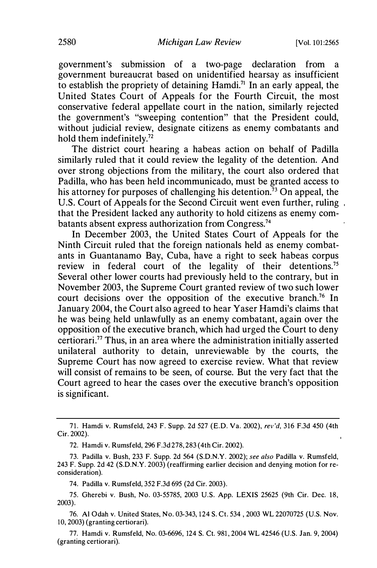government's submission of a two-page declaration from a government bureaucrat based on unidentified hearsay as insufficient to establish the propriety of detaining Hamdi.<sup>71</sup> In an early appeal, the United States Court of Appeals for the Fourth Circuit, the most conservative federal appellate court in the nation, similarly rejected the government's "sweeping contention" that the President could, without judicial review, designate citizens as enemy combatants and hold them indefinitely.<sup>72</sup>

The district court hearing a habeas action on behalf of Padilla similarly ruled that it could review the legality of the detention. And over strong objections from the military, the court also ordered that Padilla, who has been held incommunicado, must be granted access to his attorney for purposes of challenging his detention.<sup>73</sup> On appeal, the U.S. Court of Appeals for the Second Circuit went even further, ruling that the President lacked any authority to hold citizens as enemy combatants absent express authorization from Congress.<sup>74</sup>

In December 2003, the United States Court of Appeals for the Ninth Circuit ruled that the foreign nationals held as enemy combatants in Guantanamo Bay, Cuba, have a right to seek habeas corpus review in federal court of the legality of their detentions.<sup>75</sup> Several other lower courts had previously held to the contrary, but in November 2003, the Supreme Court granted review of two such lower court decisions over the opposition of the executive branch.<sup>76</sup> In January 2004, the Court also agreed to hear Yaser Hamdi's claims that he was being held unlawfully as an enemy combatant, again over the opposition of the executive branch, which had urged the Court to deny certiorari.77 Thus, in an area where the administration initially asserted unilateral authority to detain, unreviewable by the courts, the Supreme Court has now agreed to exercise review. What that review will consist of remains to be seen, of course. But the very fact that the Court agreed to hear the cases over the executive branch's opposition is significant.

74. Padilla v. Rumsfeld, 352 F.3d 695 (2d Cir. 2003).

75. Gherebi v. Bush, No. 03-55785, 2003 U.S. App. LEXIS 25625 (9th Cir. Dec. 18, 2003).

76. Al Odah v. United States, No. 03-343, 124 S. Ct. 534 , 2003 WL 22070725 (U.S. Nov. 10, 2003) (granting certiorari).

77. Hamdi v. Rumsfeld, No. 03-6696, 124 S. Ct. 981, 2004 WL 42546 (U.S. Jan. 9, 2004) (granting certiorari).

<sup>71.</sup> Hamdi v. Rumsfeld, 243 F. Supp. 2d 527 (E.D. Va. 2002), rev'd, 316 F.3d 450 (4th Cir. 2002).

<sup>72.</sup> Hamdi v. Rumsfeld, 296 F.3d 278, 283 (4th Cir. 2002).

<sup>73.</sup> Padilla v. Bush, 233 F. Supp. 2d 564 (S.D.N.Y. 2002); see also Padilla v. Rumsfeld, 243 F. Supp. 2d 42 (S.D.N.Y. 2003) (reaffirming earlier decision and denying motion for reconsideration).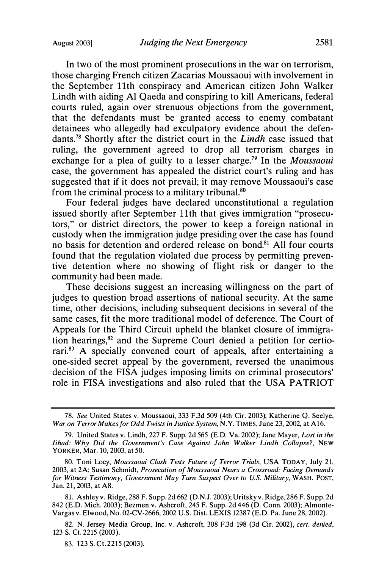In two of the most prominent prosecutions in the war on terrorism, those charging French citizen Zacarias Moussaoui with involvement in the September 11th conspiracy and American citizen John Walker Lindh with aiding Al Qaeda and conspiring to kill Americans, federal courts ruled, again over strenuous objections from the government, that the defendants must be granted access to enemy combatant detainees who allegedly had exculpatory evidence about the defendants.<sup>78</sup> Shortly after the district court in the *Lindh* case issued that ruling, the government agreed to drop all terrorism charges in exchange for a plea of guilty to a lesser charge.<sup>79</sup> In the *Moussaoui* case, the government has appealed the district court's ruling and has suggested that if it does not prevail, it may remove Moussaoui's case from the criminal process to a military tribunal. $80$ 

Four federal judges have declared unconstitutional a regulation issued shortly after September 11th that gives immigration "prosecutors," or district directors, the power to keep a foreign national in custody when the immigration judge presiding over the case has found no basis for detention and ordered release on bond.<sup>81</sup> All four courts found that the regulation violated due process by permitting preventive detention where no showing of flight risk or danger to the community had been made.

These decisions suggest an increasing willingness on the part of judges to question broad assertions of national security. At the same time, other decisions, including subsequent decisions in several of the same cases, fit the more traditional model of deference. The Court of Appeals for the Third Circuit upheld the blanket closure of immigration hearings, $82$  and the Supreme Court denied a petition for certiorari. $83$  A specially convened court of appeals, after entertaining a one-sided secret appeal by the government, reversed the unanimous decision of the FISA judges imposing limits on criminal prosecutors' role in PISA investigations and also ruled that the USA PATRIOT

82. N. Jersey Media Group, Inc. v. Ashcroft, 308 F.3d 198 (3d Cir. 2002), cert. denied, 123 S. Ct. 2215 (2003).

83. 123 S. Ct. 2215 (2003).

<sup>78.</sup> See United States v. Moussaoui, 333 F.3d 509 (4th Cir. 2003); Katherine Q. Seelye, War on Terror Makes for Odd Twists in Justice System, N.Y. TIMES, June 23, 2002, at Al6.

<sup>79.</sup> United States v. Lindh, 227 F. Supp. 2d 565 (E.D. Va. 2002); Jane Mayer, Lost in the Jihad: Why Did the Government's Case Against John Walker Lindh Collapse?, NEW YORKER, Mar. 10, 2003, at 50.

<sup>80.</sup> Toni Locy, Moussaoui Clash Tests Future of Terror Trials, USA TODAY, July 21, 2003, at 2A; Susan Schmidt, Prosecution of Moussaoui Nears a Crossroad: Facing Demands for Witness Testimony, Government May Turn Suspect Over to U.S. Military, WASH. POST, Jan. 21, 2003, at A8.

<sup>81.</sup> Ashley v. Ridge, 288 F. Supp. 2d 662 (D.N.J. 2003); Uritsky v. Ridge, 286 F. Supp. 2d 842 (E.D. Mich. 2003); Bezmen v. Ashcroft, 245 F. Supp. 2d 446 (D. Conn. 2003); Almonte-Vargas v. Elwood, No. 02-CV-2666, 2002 U.S. Dist. LEXIS 12387 (E.D. Pa. June 28, 2002).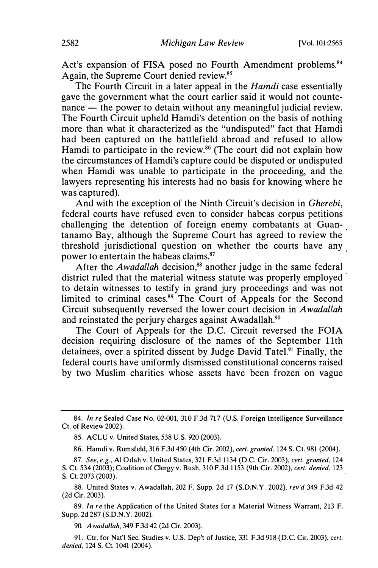Act's expansion of FISA posed no Fourth Amendment problems.<sup>84</sup> Again, the Supreme Court denied review.85

The Fourth Circuit in a later appeal in the *Hamdi* case essentially gave the government what the court earlier said it would not counte $n$  nance  $-$  the power to detain without any meaningful judicial review. The Fourth Circuit upheld Hamdi's detention on the basis of nothing . more than what it characterized as the "undisputed" fact that Hamdi had been captured on the battlefield abroad and refused to allow Hamdi to participate in the review.<sup>86</sup> (The court did not explain how the circumstances of Hamdi's capture could be disputed or undisputed when Hamdi was unable to participate in the proceeding, and the lawyers representing his interests had no basis for knowing where he was captured).

And with the exception of the Ninth Circuit's decision in Gherebi, federal courts have refused even to consider habeas corpus petitions challenging the detention of foreign enemy combatants at Guantanamo Bay, although the Supreme Court has agreed to review the threshold jurisdictional question on whether the courts have any power to entertain the habeas claims.<sup>87</sup>

After the Awadallah decision,<sup>88</sup> another judge in the same federal district ruled that the material witness statute was properly employed to detain witnesses to testify in grand jury proceedings and was not limited to criminal cases.<sup>89</sup> The Court of Appeals for the Second Circuit subsequently reversed the lower court decision in Awadallah and reinstated the perjury charges against Awadallah.<sup>90</sup>

The Court of Appeals for the D.C. Circuit reversed the FOIA decision requiring disclosure of the names of the September 11th detainees, over a spirited dissent by Judge David Tatel.<sup>91</sup> Finally, the federal courts have uniformly dismissed constitutional concerns raised by two Muslim charities whose assets have been frozen on vague

88. United States v. Awadallah, 202 F. Supp. 2d 17 (S.D.N.Y. 2002), rev'd 349 F.3d 42 (2d Cir. 2003).

89. Jn re the Application of the United States for a Material Witness Warrant, 213 F. Supp. 2d 287 (S.D.N.Y. 2002).

90. Awadallah, 349 F.3d 42 (2d Cir. 2003).

91. Ctr. for Nat'! Sec. Studies v. U.S. Dep't of Justice, 331 F.3d 918 (D.C. Cir. 2003), cert. denied, 124 S. Ct. 1041 (2004).

<sup>84.</sup> Jn re Sealed Case No. 02-001, 310 F.3d 717 (U.S. Foreign Intelligence Surveillance Ct. of Review 2002).

<sup>85.</sup> ACLU v. United States, 538 U.S. 920 (2003).

<sup>86.</sup> Hamdi v. Rumsfeld, 316 F.3d 450 (4th Cir. 2002), cert. granted, 124 S. Ct. 981 (2004).

<sup>87.</sup> See, e.g., Al Odah v. United States, 321 F.3d 1134 (D.C. Cir. 2003), cert. granted, 124 S. Ct. 534 (2003); Coalition of Clergy v. Bush, 310 F.3d 1153 (9th Cir. 2002), *cert. denied*, 123<br>S. Ct. 2073 (2003).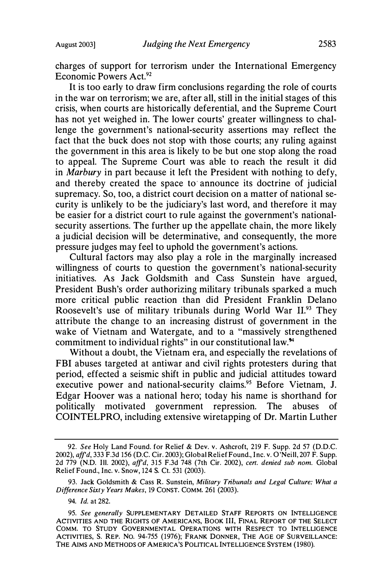charges of support for terrorism under the International Emergency Economic Powers Act.<sup>92</sup>

It is too early to draw firm conclusions regarding the role of courts in the war on terrorism; we are, after all, still in the initial stages of this crisis, when courts are historically deferential, and the Supreme Court has not yet weighed in. The lower courts' greater willingness to challenge the government's national-security assertions may reflect the fact that the buck does not stop with those courts; any ruling against the government in this area is likely to be but one stop along the road to appeal. The Supreme Court was able to reach the result it did in Marbury in part because it left the President with nothing to defy, and thereby created the space to announce its doctrine of judicial supremacy. So, too, a district court decision on a matter of national security is unlikely to be the judiciary's last word, and therefore it may be easier for a district court to rule against the government's nationalsecurity assertions. The further up the appellate chain, the more likely a judicial decision will be determinative, and consequently, the more pressure judges may feel to uphold the government's actions.

Cultural factors may also play a role in the marginally increased willingness of courts to question the government's national-security initiatives. As Jack Goldsmith and Cass Sunstein have argued, President Bush's order authorizing military tribunals sparked a much more critical public reaction than did President Franklin Delano Roosevelt's use of military tribunals during World War II.93 They attribute the change to an increasing distrust of government in the wake of Vietnam and Watergate, and to a "massively strengthened commitment to individual rights" in our constitutional law.<sup>94</sup>

Without a doubt, the Vietnam era, and especially the revelations of FBI abuses targeted at antiwar and civil rights protesters during that period, effected a seismic shift in public and judicial attitudes toward executive power and national-security claims.<sup>95</sup> Before Vietnam, J. Edgar Hoover was a national hero; today his name is shorthand for politically motivated government repression. The abuses of COINTELPRO, including extensive wiretapping of Dr. Martin Luther

93. Jack Goldsmith & Cass R. Sunstein, Military Tribunals and Legal Culture: What a Difference Sixty Years Makes, 19 CONST. COMM. 261 (2003).

<sup>92.</sup> See Holy Land Found. for Relief & Dev. v. Ashcroft, 219 F. Supp. 2d 57 (D.D.C. 2002), aff d, 333 F.3d 156 (D.C. Cir. 2003); Global Relief Found., Inc. v. O'Neill, 207 F. Supp. 2d 779 (N.D. Ill. 2002), aff'd, 315 F.3d 748 (7th Cir. 2002), cert. denied sub nom. Global Relief Found., Inc. v. Snow, 124 S. Ct. 531 (2003).

<sup>94.</sup> Id. at 282.

<sup>95.</sup> See generally SUPPLEMENTARY DETAILED STAFF REPORTS ON INTELLIGENCE ACTIVITIES AND THE RIGHTS OF AMERICANS, BOOK III, FINAL REPORT OF THE SELECT COMM. TO STUDY GOVERNMENTAL OPERATIONS WITH RESPECT TO INTELLIGENCE ACTIVITIES, S. REP. No. 94-755 (1976); FRANK DONNER, THE AGE OF SURVEILLANCE: THE AIMS AND METHODS OF AMERICA'S POLITICAL INTELLIGENCE SYSTEM (1980).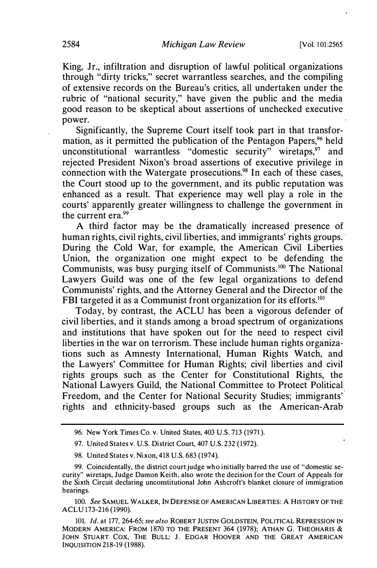King, Jr., infiltration and disruption of lawful political organizations through "dirty tricks," secret warrantless searches, and the compiling of extensive records on the Bureau's critics, all undertaken under the rubric of "national security," have given the public and the media good reason to be skeptical about assertions of unchecked executive power.

Significantly, the Supreme Court itself took part in that transformation, as it permitted the publication of the Pentagon Papers,<sup>96</sup> held unconstitutional warrantless "domestic security" wiretaps,  $97$  and rejected President Nixon's broad assertions of executive privilege in connection with the Watergate prosecutions.<sup>98</sup> In each of these cases, the Court stood up to the government, and its public reputation was enhanced as a result. That experience may well play a role in the courts' apparently greater willingness to challenge the government in the current era.<sup>99</sup>

A third factor may be the dramatically increased presence of human rights, civil rights, civil liberties, and immigrants' rights groups. · During the Cold War, for example, the American Civil Liberties Union, the organization one might expect to be defending the Communists, was busy purging itself of Communists.<sup>100</sup> The National Lawyers Guild was one of the few legal organizations to defend Communists' rights, and the Attorney General and the Director of the FBI targeted it as a Communist front organization for its efforts.<sup>101</sup>

Today, by contrast, the ACLU has been a vigorous defender of civil liberties, and it stands among a broad spectrum of organizations and institutions that have spoken out for the need to respect civil liberties in the war on terrorism. These include human rights organizations such as Amnesty International, Human Rights Watch, and the Lawyers' Committee for Human Rights; civil liberties and civil rights groups such as the Center for Constitutional Rights, the National Lawyers Guild, the National Committee to Protect Political Freedom, and the Center for National Security Studies; immigrants' rights and ethnicity-based groups such as the American-Arab

100. See SAMUEL WALKER, IN DEFENSE OF AMERICAN LIBERTIES: A HISTORY OF THE ACLU 173-216 (1990).

101. Id. at 177, 264-65; see also ROBERT JUSTIN GOLDSTEIN, POLITICAL REPRESSION IN MODERN AMERICA: FROM 1870 TO THE PRESENT 364 (1978); ATHAN G. THEOHARIS & JOHN STUART Cox, THE BULL: J. EDGAR HOOVER AND THE GREAT AMERICAN INQUISITION 218-19 (1988).

<sup>96.</sup> New York Times Co. v. United States, 403 U.S. 713 (1971).

<sup>97.</sup> United States v. U.S. District Court, 407 U.S. 232 (1972).

<sup>98.</sup> United States v. Nixon, 418 U.S. 683 (1974).

<sup>99.</sup> Coincidentally, the district court judge who initially barred the use of "domestic security" wiretaps, Judge Damon Keith, also wrote the decision for the Court of Appeals for the Sixth Circuit declaring unconstitutional John Ashcroft's blanket closure of immigration hearings.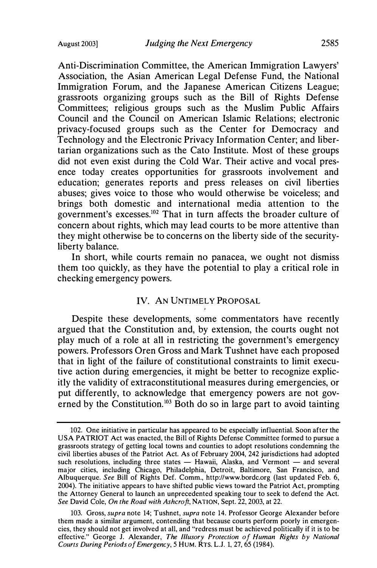Anti-Discrimination Committee, the American Immigration Lawyers' Association, the Asian American Legal Defense Fund, the National Immigration Forum, and the Japanese American Citizens League; grassroots organizing groups such as the Bill of Rights Defense Committees; religious groups such as the Muslim Public Affairs Council and the Council on American Islamic Relations; electronic privacy-focused groups such as the Center for Democracy and Technology and the Electronic Privacy Information Center; and libertarian organizations such as the Cato Institute. Most of these groups did not even exist during the Cold War. Their active and vocal presence today creates opportunities for grassroots involvement and education; generates reports and press releases on civil liberties abuses; gives voice to those who would otherwise be voiceless; and brings both domestic and international media attention to the government's excesses.102 That in turn affects the broader culture of concern about rights, which may lead courts to be more attentive than they might otherwise be to concerns on the liberty side of the securityliberty balance.

In short, while courts remain no panacea, we ought not dismiss them too quickly, as they have the potential to play a critical role in checking emergency powers.

#### IV. AN UNTIMELY PROPOSAL

Despite these developments, some commentators have recently argued that the Constitution and, by extension, the courts ought not play much of a role at all in restricting the government's emergency powers. Professors Oren Gross and Mark Tushnet have each proposed that in light of the failure of constitutional constraints to limit executive action during emergencies, it might be better to recognize explicitly the validity of extraconstitutional measures during emergencies, or put differently, to acknowledge that emergency powers are not governed by the Constitution.<sup>103</sup> Both do so in large part to avoid tainting

<sup>102.</sup> One initiative in particular has appeared to be especially influential. Soon after the USA PATRIOT Act was enacted, the Bill of Rights Defense Committee formed to pursue a grassroots strategy of getting local towns and counties to adopt resolutions condemning the civil liberties abuses of the Patriot Act. As of February 2004, 242 jurisdictions had adopted such resolutions, including three states — Hawaii, Alaska, and Vermont — and several major cities, including Chicago, Philadelphia, Detroit, Baltimore, San Francisco, and Albuquerque. See Bill of Rights Def. Comm., http://www.bordc.org (last updated Feb. 6, 2004). The initiative appears to have shifted public views toward the Patriot Act, prompting the Attorney General to launch an unprecedented speaking tour to seek to defend the Act. See David Cole, On the Road with Ashcroft, NATION, Sept. 22, 2003, at 22.

<sup>103.</sup> Gross, supra note 14; Tushnet, supra note 14. Professor George Alexander before them made a similar argument, contending that because courts perform poorly in emergencies, they should not get involved at all, and "redress must be achieved politically if it is to be effective." George J. Alexander, The Illusory Protection of Human Rights by National Courts During Periods of Emergency, 5 HUM. RTS. L.J. 1, 27, 65 (1984).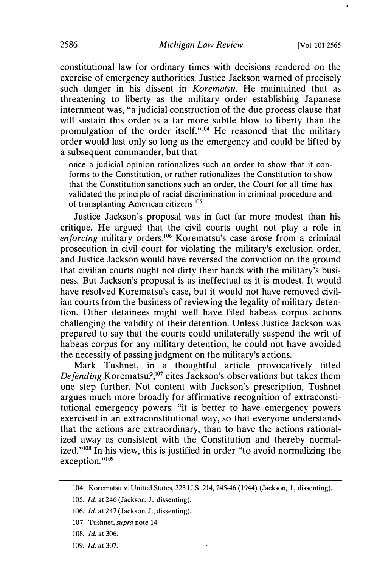constitutional law for ordinary times with decisions rendered on the exercise of emergency authorities. Justice Jackson warned of precisely such danger in his dissent in Korematsu. He maintained that as threatening to liberty as the military order establishing Japanese internment was, "a judicial construction of the due process clause that will sustain this order is a far more subtle blow to liberty than the promulgation of the order itself."104 He reasoned that the military order would last only so long as the emergency and could be lifted by a subsequent commander, but that

once a judicial opinion rationalizes such an order to show that it conforms to the Constitution, or rather rationalizes the Constitution to show that the Constitution sanctions such an order, the Court for all time has validated the principle of racial discrimination in criminal procedure and of transplanting American citizens.<sup>105</sup>

Justice Jackson's proposal was in fact far more modest than his critique. He argued that the civil courts ought not play a role in enforcing military orders.<sup>106</sup> Korematsu's case arose from a criminal prosecution in civil court for violating the military's exclusion order, and Justice Jackson would have reversed the conviction on the ground that civilian courts ought not dirty their hands with the military's business. But Jackson's proposal is as ineffectual as it is modest. It would have resolved Korematsu's case, but it would not have removed civilian courts from the business of reviewing the legality of military detention. Other detainees might well have filed habeas corpus actions challenging the validity of their detention. Unless Justice Jackson was prepared to say that the courts could unilaterally suspend the writ of habeas corpus for any military detention, he could not have avoided the necessity of passing judgment on the military's actions.

Mark Tushnet, in a thoughtful article provocatively titled Defending Korematsu?,<sup>107</sup> cites Jackson's observations but takes them one step further. Not content with Jackson's prescription, Tushnet argues much more broadly for affirmative recognition of extraconstitutional emergency powers: "it is better to have emergency powers exercised in an extraconstitutional way, so that everyone understands that the actions are extraordinary, than to have the actions rationalized away as consistent with the Constitution and thereby normalized. "108 In his view, this is justified in order "to avoid normalizing the exception."<sup>109</sup>

<sup>104.</sup> Korematsu v. United States, 323 U.S. 214, 245-46 (1944) (Jackson, J., dissenting).

<sup>105.</sup> Id. at 246 (Jackson, J., dissenting).

<sup>106.</sup> *Id.* at 247 (Jackson, J., dissenting).

<sup>107.</sup> Tushnet, supra note 14.

<sup>108.</sup> Id. at 306.

<sup>109.</sup> Id. at 307.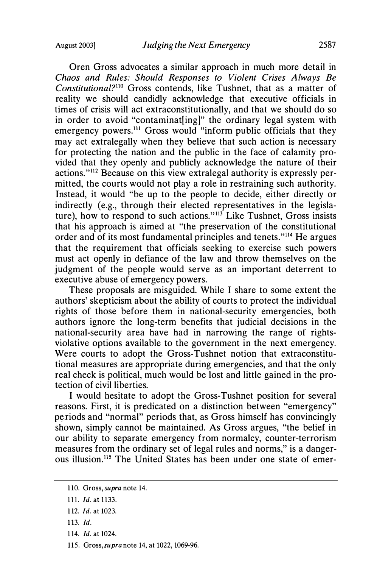Oren Gross advocates a similar approach in much more detail in Chaos and Rules: Should Responses to Violent Crises Always Be Constitutional?110 Gross contends, like Tushnet, that as a matter of reality we should candidly acknowledge that executive officials in times of crisis will act extraconstitutionally, and that we should do so in order to avoid "contaminat[ing]" the ordinary legal system with emergency powers.<sup>111</sup> Gross would "inform public officials that they may act extralegally when they believe that such action is necessary for protecting the nation and the public in the face of calamity provided that they openly and publicly acknowledge the nature of their actions."112 Because on this view extralegal authority is expressly permitted, the courts would not play a role in restraining such authority. Instead, it would "be up to the people to decide, either directly or indirectly (e.g., through their elected representatives in the legislature), how to respond to such actions."<sup>113</sup> Like Tushnet, Gross insists that his approach is aimed at "the preservation of the constitutional order and of its most fundamental principles and tenets."114 He argues that the requirement that officials seeking to exercise such powers must act openly in defiance of the law and throw themselves on the judgment of the people would serve as an important deterrent to executive abuse of emergency powers.

These proposals are misguided. While I share to some extent the authors' skepticism about the ability of courts to protect the individual rights of those before them in national-security emergencies, both authors ignore the long-term benefits that judicial decisions in the national-security area have had in narrowing the range of rightsviolative options available to the government in the next emergency. Were courts to adopt the Gross-Tushnet notion that extraconstitutional measures are appropriate during emergencies, and that the only real check is political, much would be lost and little gained in the protection of civil liberties.

I would hesitate to adopt the Gross-Tushnet position for several reasons. First, it is predicated on a distinction between "emergency" p�riods and "normal" periods that, as Gross himself has convincingly shown, simply cannot be maintained. As Gross argues, "the belief in our ability to separate emergency from normalcy, counter-terrorism measures from the ordinary set of legal rules and norms," is a dangerous illusion.115 The United States has been under one state of emer-

<sup>110.</sup> Gross, supra note 14.

<sup>111.</sup> Id. at 1133.

<sup>1 12.</sup> Id. at 1023.

<sup>113.</sup>  $Id.$ 

<sup>1 14.</sup> Id. at 1024.

<sup>115.</sup> Gross, supra note 14, at 1022, 1069-96.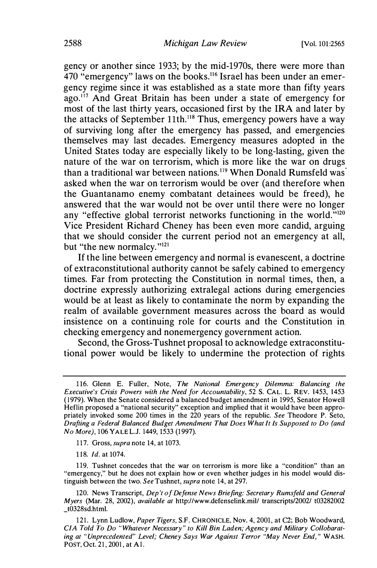gency or another since 1933; by the mid-1970s, there were more than 470 "emergency" laws on the books.<sup>116</sup> Israel has been under an emergency regime since it was established as a state more than fifty years ago.<sup>117</sup> And Great Britain has been under a state of emergency for most of the last thirty years, occasioned first by the IRA and later by the attacks of September 11th.<sup>118</sup> Thus, emergency powers have a way of surviving long after the emergency has passed, and emergencies themselves may last decades. Emergency measures adopted in the United States today are especially likely to be long-lasting, given the nature of the war on terrorism, which is more like the war on drugs than a traditional war between nations.<sup>119</sup> When Donald Rumsfeld was asked when the war on terrorism would be over (and therefore when the Guantanamo enemy combatant detainees would be freed), he answered that the war would not be over until there were no longer any "effective global terrorist networks functioning in the world."<sup>120</sup> Vice President Richard Cheney has been even more candid, arguing that we should consider the current period not an emergency at all, but "the new normalcy."<sup>121</sup>

If the line between emergency and normal is evanescent, a doctrine of extraconstitutional authority cannot be safely cabined to emergency times. Far from protecting the Constitution in normal times, then, a doctrine expressly authorizing extralegal actions during emergencies would be at least as likely to contaminate the norm by expanding the realm of available government measures across the board as would insistence on a continuing role for courts and the Constitution in. checking emergency and nonemergency government action.

Second, the Gross-Tushnet proposal to acknowledge extraconstitutional power would be likely to undermine the protection of rights

- 117. Gross, supra note 14, at 1073.
- 1 18. Id. at 1074.

119. Tushnet concedes that the war on terrorism is more like a "condition" than an "emergency," but he does not explain how or even whether judges in his model would distinguish between the two. See Tushnet, supra note 14, at 297.

<sup>116.</sup> Glenn E. Fuller, Note, The National Emergency Dilemma: Balancing the Executive's Crisis Powers with the Need for Accountability, 52 S. CAL. L. REV. 1453, 1453 ( 1979). When the Senate considered a balanced budget amendment in 1995, Senator Howell Heflin proposed a "national security" exception and implied that it would have been appropriately invoked some 200 times in the 220 years of the republic. See Theodore P. Seto, Drafting a Federal Balanced Budget Amendment That Does What It ls Supposed to Do (and No More), 106 YALE L.J. 1449, 1533 (1997).

<sup>120.</sup> News Transcript, Dep't of Defense News Briefing: Secretary Rumsfeld and General Myers (Mar. 28, 2002), available at http://www.defenselink.mil/ transcripts/2002/ t03282002 \_t0328sd.html.

<sup>121.</sup> Lynn Ludlow, Paper Tigers, S.F. CHRONICLE, Nov. 4, 2001, at C2; Bob Woodward, CIA Told To Do "Whatever Necessary " to Kill Bin Laden; Agency and Military Collobarating at " Unprecedented" Level; Cheney Says War Against Terror "May Never End, " WASH. POST, Oct. 21, 2001, at Al.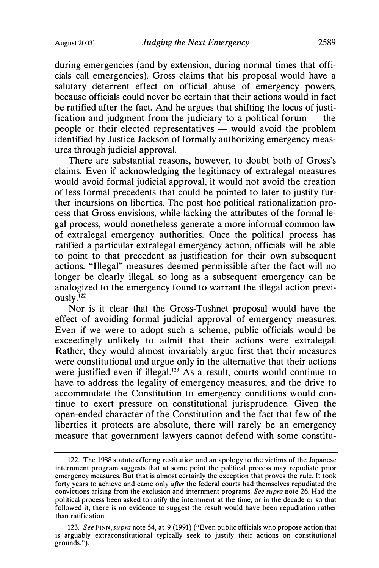during emergencies (and by extension, during normal times that officials call emergencies). Gross claims that his proposal would have a salutary deterrent effect on official abuse of emergency powers, because officials could never be certain that their actions would in fact be ratified after the fact. And he argues that shifting the locus of justi- $\frac{1}{2}$  fication and judgment from the judiciary to a political forum  $\frac{1}{2}$  the people or their elected representatives — would avoid the problem identified by Justice Jackson of formally authorizing emergency measures through judicial approval.

There are substantial reasons, however, to doubt both of Gross's claims. Even if acknowledging the legitimacy of extralegal measures would avoid formal judicial approval, it would not avoid the creation of less formal precedents that could be pointed to later to justify further incursions on liberties. The post hoc political rationalization process that Gross envisions, while lacking the attributes of the formal legal process, would nonetheless generate a more informal common law of extralegal emergency authorities. Once the political process has ratified a particular extralegal emergency action, officials will be able to point to that precedent as justification for their own subsequent actions. "Illegal" measures deemed permissible after the fact will no longer be clearly illegal, so long as a subsequent emergency can be analogized to the emergency found to warrant the illegal action previously.122

Nor is it clear that the Gross-Tushnet proposal would have the effect of avoiding formal judicial approval of emergency measures. Even if we were to adopt such a scheme, public officials would be exceedingly unlikely to admit that their actions were extralegal. Rather, they would almost invariably argue first that their measures were constitutional and argue only in the alternative that their actions were justified even if illegal.<sup>123</sup> As a result, courts would continue to have to address the legality of emergency measures, and the drive to accommodate the Constitution to emergency conditions would continue to exert pressure on constitutional jurisprudence. Given the open-ended character of the Constitution and the fact that few of the liberties it protects are absolute, there will rarely be an emergency measure that government lawyers cannot defend with some constitu-

<sup>122.</sup> The 1988 statute offering restitution and an apology to the victims of the Japanese internment program suggests that at some point the political process may repudiate prior emergency measures. But that is almost certainly the exception that proves the rule. It took forty years to achieve and came only after the federal courts had themselves repudiated the convictions arising from the exclusion and internment programs. See supra note 26. Had the political process been asked to ratify the internment at the time, or in the decade or so that followed it, there is no evidence to suggest the result would have been repudiation rather than ratification.

<sup>123.</sup> See FINN, supra note 54, at 9 (1991) ("Even public officials who propose action that is arguably extraconstitutional typically seek to justify their actions on constitutional grounds.").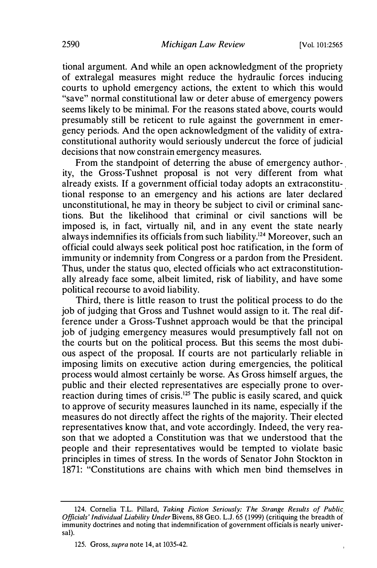tional argument. And while an open acknowledgment of the propriety of extralegal measures might reduce the hydraulic forces inducing courts to uphold emergency actions, the extent to which this would "save" normal constitutional law or deter abuse of emergency powers seems likely to be minimal. For the reasons stated above, courts would presumably still be reticent to rule against the government in emergency periods. And the open acknowledgment of the validity of extraconstitutional authority would seriously undercut the force of judicial decisions that now constrain emergency measures.

From the standpoint of deterring the abuse of emergency authority, the Gross-Tushnet proposal is not very different from what already exists. If a government official today adopts an extraconstitutional response to an emergency and his actions are later declared unconstitutional, he may in theory be subject to civil or criminal sanctions. But the likelihood that criminal or civil sanctions will be imposed is, in fact, virtually nil, and in any event the state nearly always indemnifies its officials from such liability.<sup>124</sup> Moreover, such an official could always seek political post hoc ratification, in the form of immunity or indemnity from Congress or a pardon from the President. Thus, under the status quo, elected officials who act extraconstitutionally already face some, albeit limited, risk of liability, and have some political recourse to avoid liability.

Third, there is little reason to trust the political process to do the job of judging that Gross and Tushnet would assign to it. The real difference under a Gross-Tushnet approach would be that the principal job of judging emergency measures would presumptively fall not on the courts but on the political process. But this seems the most dubious aspect of the proposal. If courts are not particularly reliable in imposing limits on executive action during emergencies, the political process would almost certainly be worse. As Gross himself argues, the public and their elected representatives are especially prone to overreaction during times of crisis.<sup>125</sup> The public is easily scared, and quick to approve of security measures launched in its name, especially if the measures do not directly affect the rights of the majority. Their elected representatives know that, and vote accordingly. Indeed, the very reason that we adopted a Constitution was that we understood that the people and their representatives would be tempted to violate basic principles in times of stress. In the words of Senator John Stockton in 1871: "Constitutions are chains with which men bind themselves in

<sup>124.</sup> Cornelia T.L. Pillard, Taking Fiction Seriously: The Strange Results of Public Officials' Individual Liability Under Bivens, 88 GEO. L.J. 65 (1999) (critiquing the breadth of immunity doctrines and noting that indemnification of government officials is nearly universal).

<sup>125.</sup> Gross, supra note 14, at 1035-42.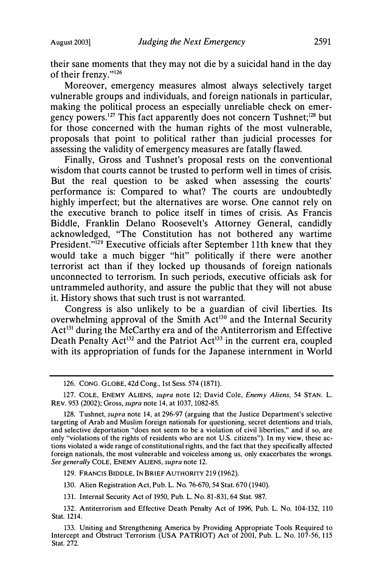their sane moments that they may not die by a suicidal hand in the day of their frenzy."126

Moreover, emergency measures almost always selectively target vulnerable groups and individuals, and foreign nationals in particular, making the political process an especially unreliable check on emergency powers.127 This fact apparently does not concern Tushnet;128 but for those concerned with the human rights of the most vulnerable, proposals that point to political rather than judicial processes for assessing the validity of emergency measures are fatally flawed.

Finally, Gross and Tushnet's proposal rests on the conventional wisdom that courts cannot be trusted to perform well in times of crisis. But the real question to be asked when assessing the courts' performance is: Compared to what? The courts are undoubtedly highly imperfect; but the alternatives are worse. One cannot rely on the executive branch to police itself in times of crisis. As Francis Biddle, Franklin Delano Roosevelt's Attorney General, candidly acknowledged, "The Constitution has not bothered any wartime President."<sup>129</sup> Executive officials after September 11th knew that they would take a much bigger "hit" politically if there were another terrorist act than if they locked up thousands of foreign nationals unconnected to terrorism. In such periods, executive officials ask for untrammeled authority, and assure the public that they will not abuse it. History shows that such trust is not warranted.

Congress is also unlikely to be a guardian of civil liberties. Its overwhelming approval of the Smith Act<sup>130</sup> and the Internal Security Act<sup>131</sup> during the McCarthy era and of the Antiterrorism and Effective Death Penalty Act<sup>132</sup> and the Patriot Act<sup>133</sup> in the current era, coupled with its appropriation of funds for the Japanese internment in World

129. FRANCIS BIDDLE, IN BRIEF AUTHORITY 219 (1962).

130. Alien Registration Act, Pub. L. No. 76-670, 54 Stat. 670 (1940).

131. Internal Security Act of 1950, Pub. L. No. 81-831, 64 Stat. 987.

<sup>126.</sup> CONG. GLOBE, 42d Cong., 1st Sess. 574 (1871).

<sup>127.</sup> COLE, ENEMY ALIENS, supra note 12; David Cole, Enemy Aliens, 54 STAN. L. REV. 953 (2002); Gross, supra note 14, at 1037, 1082-85.

<sup>128.</sup> Tushnet, *supra* note 14, at 296-97 (arguing that the Justice Department's selective targeting of Arab and Muslim foreign nationals for questioning, secret detentions and trials, and selective deportation "does not seem to be a violation of civil liberties," and if so, are only "violations of the rights of residents who are not U.S. citizens"). In my view, these actions violated a wide range of constitutional rights, and the fact that they specifically affected foreign nationals, the most vulnerable and voiceless among us, only exacerbates the wrongs. See generally COLE, ENEMY ALIENS, supra note 12.

<sup>132.</sup> Antiterrorism and Effective Death Penalty Act of 1996, Pub. L. No. 104-132, 110 Stat. 1214.

<sup>133.</sup> Uniting and Strengthening America by Providing Appropriate Tools Required to Intercept and Obstruct Terrorism (USA PATRIOT) Act of 2001, Pub. L. No. 107-56, 115 Stat. 272.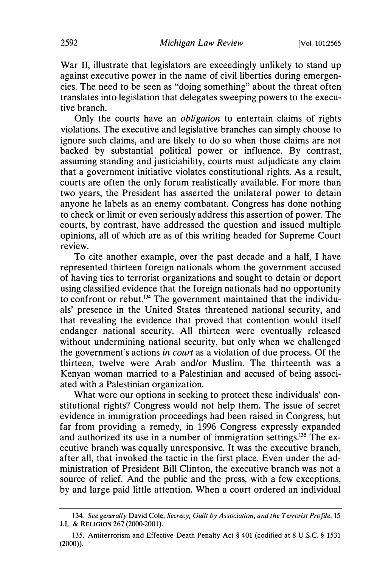War II, illustrate that legislators are exceedingly unlikely to stand up against executive power in the name of civil liberties during emergencies. The need to be seen as "doing something" about the threat often translates into legislation that delegates sweeping powers to the executive branch.

Only the courts have an obligation to entertain claims of rights violations. The executive and legislative branches can simply choose to ignore such claims, and are likely to do so when those claims are not backed by substantial political power or influence. By contrast, assuming standing and justiciability, courts must adjudicate any claim that a government initiative violates constitutional rights. As a result, courts are often the only forum realistically available. For more than two years, the President has asserted the unilateral power to detain anyone he labels as an enemy combatant. Congress has done nothing to check or limit or even seriously address this assertion of power. The courts, by contrast, have addressed the question and issued multiple opinions, all of which are as of this writing headed for Supreme Court review.

To cite another example, over the past decade and a half, I have represented thirteen foreign nationals whom the government accused of having ties to terrorist organizations and sought to detain or deport using classified evidence that the foreign nationals had no opportunity to confront or rebut.<sup>134</sup> The government maintained that the individuals' presence in the United States threatened national security, and that revealing the evidence that proved that contention would itself endanger national security. All thirteen were eventually released without undermining national security, but only when we challenged the government's actions in court as a violation of due process. Of the thirteen, twelve were Arab and/or Muslim. The thirteenth was a Kenyan woman married to a Palestinian and accused of being associated with a Palestinian organization.

What were our options in seeking to protect these individuals' constitutional rights? Congress would not help them. The issue of secret evidence in immigration proceedings had been raised in Congress, but far from providing a remedy, in 1996 Congress expressly expanded and authorized its use in a number of immigration settings.135 The executive branch was equally unresponsive. It was the executive branch, after all, that invoked the tactic in the first place. Even under the administration of President Bill Clinton, the executive branch was not a source of relief. And the public and the press, with a few exceptions, by and large paid little attention. When a court ordered an individual

<sup>134.</sup> See generally David Cole, Secrecy, Guilt by Association, and the Terrorist Profile, 15 J.L. & RELIGION 267 (2000-2001).

<sup>135.</sup> Antiterrorism and Effective Death Penalty Act § 401 (codified at 8 U.S.C. § 1531 (2000)).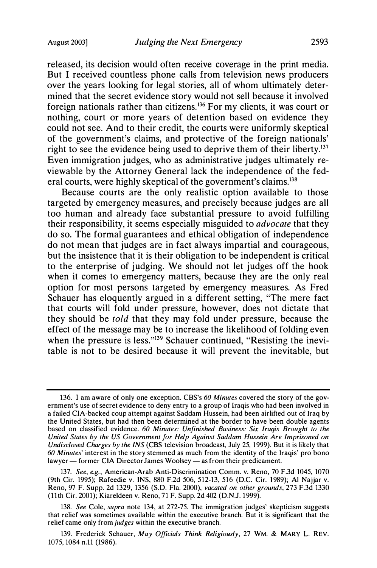released, its decision would often receive coverage in the print media. But I received countless phone calls from television news producers over the years looking for legal stories, all of whom ultimately determined that the secret evidence story would not sell because it involved foreign nationals rather than citizens. 136 For my clients, it was court or nothing, court or more years of detention based on evidence they could not see. And to their credit, the courts were uniformly skeptical of the government's claims, and protective of the foreign nationals' right to see the evidence being used to deprive them of their liberty.<sup>137</sup> Even immigration judges, who as administrative judges ultimately reviewable by the Attorney General lack the independence of the federal courts, were highly skeptical of the government's claims.138

Because courts are the only realistic option available to those targeted by emergency measures, and precisely because judges are all too human and already face substantial pressure to avoid fulfilling their responsibility, it seems especially misguided to *advocate* that they do so. The formal guarantees and ethical obligation of independence do not mean that judges are in fact always impartial and courageous, but the insistence that it is their obligation to be independent is critical to the enterprise of judging. We should not let judges off the hook when it comes to emergency matters, because they are the only real option for most persons targeted by emergency measures. As Fred Schauer has eloquently argued in a different setting, "The mere fact that courts will fold under pressure, however, does not dictate that they should be told that they may fold under pressure, because the effect of the message may be to increase the likelihood of folding even when the pressure is less."<sup>139</sup> Schauer continued, "Resisting the inevitable is not to be desired because it will prevent the inevitable, but

<sup>136.</sup> I am aware of only one exception. CBS's 60 Minutes covered the story of the government's use of secret evidence to deny entry to a group of Iraqis who had been involved in a failed CIA-backed coup attempt against Saddam Hussein, had been airlifted out of Iraq by the United States, but had then been determined at the border to have been double agents based on classified evidence. 60 Minutes: Unfinished Business: Six Iraqis Brought to the United States by the US Government for Help Against Saddam Hussein Are Imprisoned on Undisclosed Charges by the INS (CBS television broadcast, July 25, 1999). But it is likely that 60 Minutes' interest in the story stemmed as much from the identity of the Iraqis' pro bono lawyer — former CIA Director James Woolsey — as from their predicament.

<sup>137.</sup> See, e.g. , American-Arab Anti-Discrimination Comm. v. Reno, 70 F.3d 1045, 1070 (9th Cir. 1995); Rafeedie v. INS, 880 F.2d 506, 512-13, 516 (D.C. Cir. 1 989); Al Najjar v. Reno, 97 F. Supp. 2d 1329, 1356 (S.D. Fla. 2000), vacated on other grounds, 273 F.3d 1330 (11th Cir. 2001); Kiareldeen v. Reno, 71 F. Supp. 2d 402 (D.N.J. 1999).

<sup>138.</sup> See Cole, supra note 134, at 272-75. The immigration judges' skepticism suggests that relief was sometimes available within the executive branch. But it is significant that the relief came only from judges within the executive branch.

<sup>139.</sup> Frederick Schauer, May Officials Think Religiously, 27 WM. & MARY L. REV. 1075, 1084 n.11 (1986).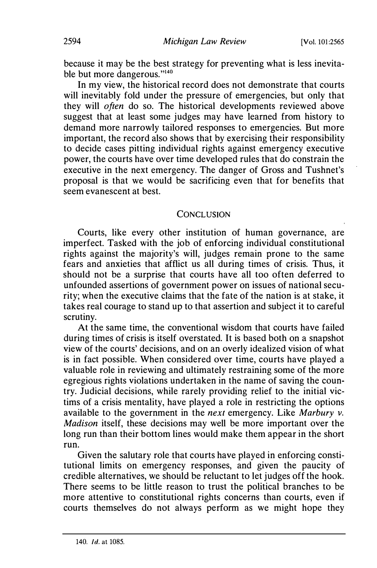because it may be the best strategy for preventing what is less inevitable but more dangerous."<sup>140</sup>

In my view, the historical record does not demonstrate that courts will inevitably fold under the pressure of emergencies, but only that they will often do so. The historical developments reviewed above suggest that at least some judges may have learned from history to demand more narrowly tailored responses to emergencies. But more important, the record also shows that by exercising their responsibility to decide cases pitting individual rights against emergency executive power, the courts have over time developed rules that do constrain the executive in the next emergency. The danger of Gross and Tushnet's proposal is that we would be sacrificing even that for benefits that seem evanescent at best.

#### **CONCLUSION**

Courts, like every other institution of human governance, are imperfect. Tasked with the job of enforcing individual constitutional rights against the majority's will, judges remain prone to the same fears and anxieties that afflict us all during times of crisis. Thus, it should not be a surprise that courts have all too often deferred to unfounded assertions of government power on issues of national security; when the executive claims that the fate of the nation is at stake, it takes real courage to stand up to that assertion and subject it to careful scrutiny.

At the same time, the conventional wisdom that courts have failed during times of crisis is itself overstated. It is based both on a snapshot view of the courts' decisions, and on an overly idealized vision of what is in fact possible. When considered over time, courts have played a valuable role in reviewing and ultimately restraining some of the more egregious rights violations undertaken in the name of saving the country. Judicial decisions, while rarely providing relief to the initial victims of a crisis mentality, have played a role in restricting the options available to the government in the next emergency. Like Marbury v. Madison itself, these decisions may well be more important over the long run than their bottom lines would make them appear in the short run.

Given the salutary role that courts have played in enforcing constitutional limits on emergency responses, and given the paucity of credible alternatives, we should be reluctant to let judges off the hook. There seems to be little reason to trust the political branches to be more attentive to constitutional rights concerns than courts, even if courts themselves do not always perform as we might hope they